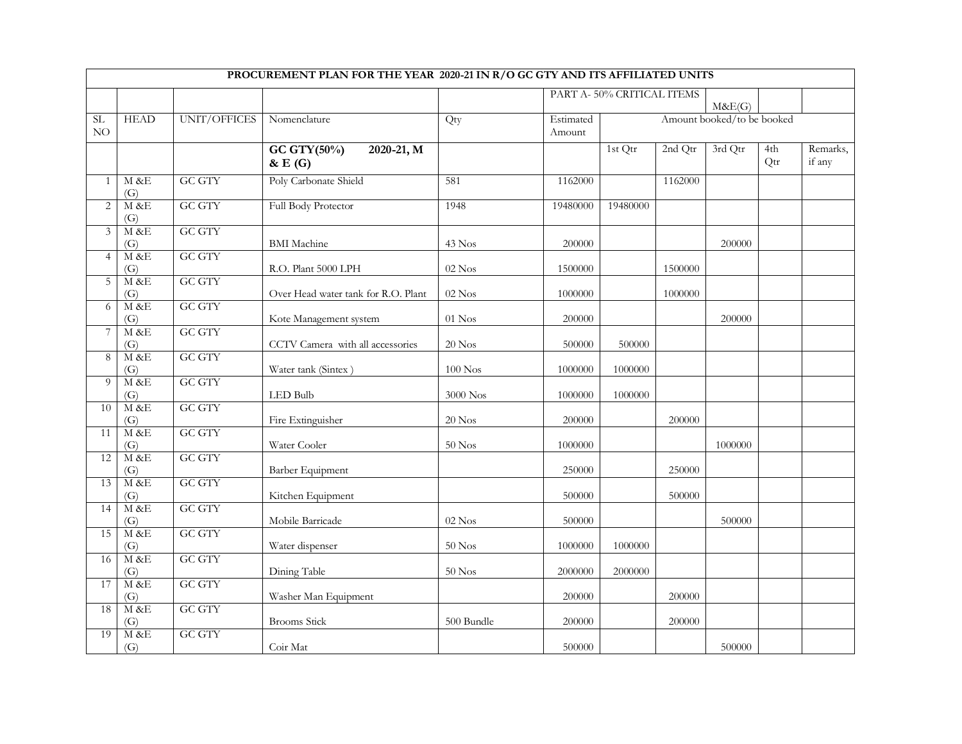|                     |                           |                         | PROCUREMENT PLAN FOR THE YEAR 2020-21 IN R/O GC GTY AND ITS AFFILIATED UNITS |                    |                     |                           |         |                            |            |                    |
|---------------------|---------------------------|-------------------------|------------------------------------------------------------------------------|--------------------|---------------------|---------------------------|---------|----------------------------|------------|--------------------|
|                     |                           |                         |                                                                              |                    |                     | PART A-50% CRITICAL ITEMS |         | M&E(G)                     |            |                    |
| SL<br>NO            | <b>HEAD</b>               | UNIT/OFFICES            | Nomenclature                                                                 | Qty                | Estimated<br>Amount |                           |         | Amount booked/to be booked |            |                    |
|                     |                           |                         | GC GTY $(50\%)$<br>$2020 - 21, M$<br>$\&E(G)$                                |                    |                     | 1st Qtr                   | 2nd Qtr | 3rd Qtr                    | 4th<br>Qtr | Remarks,<br>if any |
| $\mathbf{1}$        | M &E<br>$\left( G\right)$ | <b>GC GTY</b>           | Poly Carbonate Shield                                                        | 581                | 1162000             |                           | 1162000 |                            |            |                    |
| $\overline{c}$      | $M$ &E<br>(G)             | <b>GC GTY</b>           | Full Body Protector                                                          | 1948               | 19480000            | 19480000                  |         |                            |            |                    |
| 3                   | M&E<br>(G)                | <b>GC GTY</b>           | <b>BMI</b> Machine                                                           | 43 Nos             | 200000              |                           |         | 200000                     |            |                    |
| $\overline{4}$      | M &E<br>(G)               | <b>GC GTY</b>           | R.O. Plant 5000 LPH                                                          | $02$ Nos           | 1500000             |                           | 1500000 |                            |            |                    |
| $\overline{5}$      | M &E<br>(G)               | <b>GC GTY</b>           | Over Head water tank for R.O. Plant                                          | $02$ Nos           | 1000000             |                           | 1000000 |                            |            |                    |
| 6                   | $M$ &E<br>(G)             | GC GTY                  | Kote Management system                                                       | $01\ \mathrm{Nos}$ | 200000              |                           |         | 200000                     |            |                    |
| $\overline{7}$<br>8 | $M$ &E<br>(G)<br>M&E      | GC GTY<br><b>GC GTY</b> | CCTV Camera with all accessories                                             | $20$ Nos           | 500000              | 500000                    |         |                            |            |                    |
| $\overline{9}$      | (G)<br>M&E                | <b>GC GTY</b>           | Water tank (Sintex)                                                          | $100$ Nos          | 1000000             | 1000000                   |         |                            |            |                    |
| $\overline{10}$     | (G)<br>M&E                | <b>GC GTY</b>           | LED Bulb                                                                     | $3000\ {\rm Nos}$  | 1000000             | 1000000                   |         |                            |            |                    |
| 11                  | (G)<br>M&E                | <b>GC GTY</b>           | Fire Extinguisher                                                            | $20$ Nos           | 200000              |                           | 200000  |                            |            |                    |
| 12                  | (G)<br>M & E              | GC GTY                  | Water Cooler                                                                 | $50$ Nos           | 1000000             |                           |         | 1000000                    |            |                    |
| 13                  | (G)<br>M &E               | <b>GC GTY</b>           | Barber Equipment                                                             |                    | 250000              |                           | 250000  |                            |            |                    |
| 14                  | (G)<br>$M$ &E             | <b>GC GTY</b>           | Kitchen Equipment                                                            |                    | 500000              |                           | 500000  |                            |            |                    |
| 15                  | (G)<br>M &E               | <b>GC GTY</b>           | Mobile Barricade                                                             | $02$ Nos           | 500000              |                           |         | 500000                     |            |                    |
| 16                  | (G)<br>$M$ &E             | <b>GC GTY</b>           | Water dispenser                                                              | $50$ Nos           | 1000000             | 1000000                   |         |                            |            |                    |
| 17                  | (G)<br>$M$ &E             | <b>GC GTY</b>           | Dining Table                                                                 | $50$ Nos           | 2000000             | 2000000                   |         |                            |            |                    |
| 18                  | (G)<br>$M$ &E             | <b>GC GTY</b>           | Washer Man Equipment                                                         |                    | 200000              |                           | 200000  |                            |            |                    |
| 19                  | (G)<br>$M$ &E             | <b>GC GTY</b>           | <b>Brooms</b> Stick                                                          | 500 Bundle         | 200000              |                           | 200000  |                            |            |                    |
|                     | (G)                       |                         | Coir Mat                                                                     |                    | 500000              |                           |         | 500000                     |            |                    |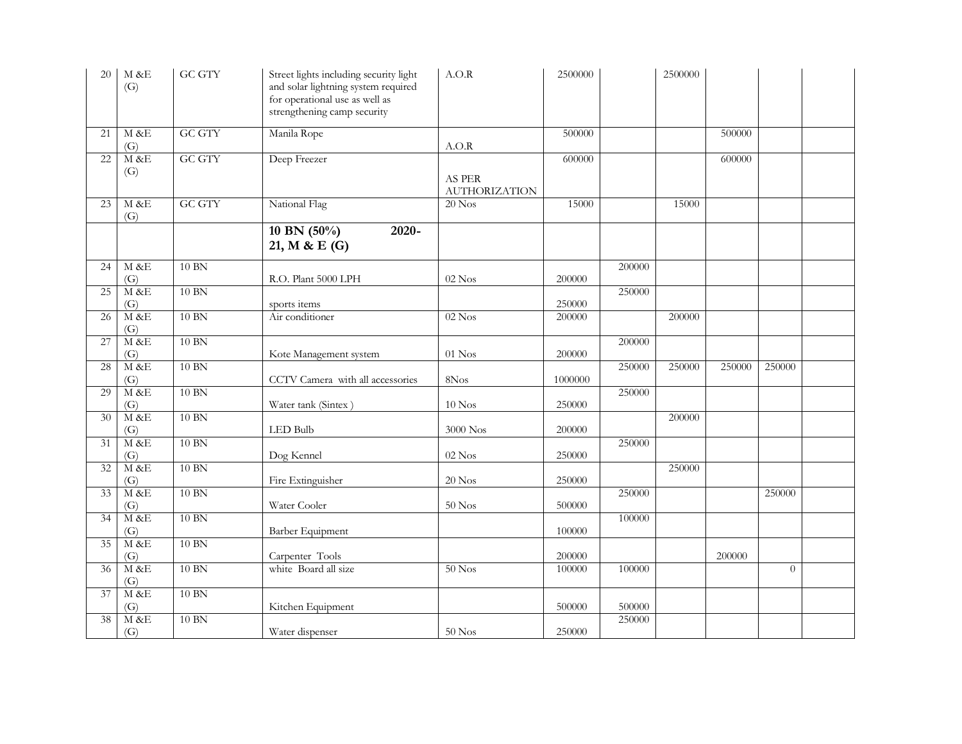| 20              | $M$ &E<br>(G)          | <b>GC GTY</b> | Street lights including security light<br>and solar lightning system required<br>for operational use as well as<br>strengthening camp security | A.O.R                          | 2500000 |        | 2500000 |        |                |  |
|-----------------|------------------------|---------------|------------------------------------------------------------------------------------------------------------------------------------------------|--------------------------------|---------|--------|---------|--------|----------------|--|
| 21              | M &E<br>(G)            | <b>GC GTY</b> | Manila Rope                                                                                                                                    | A.O.R                          | 500000  |        |         | 500000 |                |  |
| 22              | M & E<br>(G)           | <b>GC GTY</b> | Deep Freezer                                                                                                                                   | AS PER<br><b>AUTHORIZATION</b> | 600000  |        |         | 600000 |                |  |
| 23              | M &E<br>(G)            | <b>GC GTY</b> | National Flag                                                                                                                                  | $20$ Nos                       | 15000   |        | 15000   |        |                |  |
|                 |                        |               | $10$ BN $(50\%)$<br>$2020 -$<br>21, M & E (G)                                                                                                  |                                |         |        |         |        |                |  |
| 24              | M & E<br>(G)           | 10 BN         | R.O. Plant 5000 LPH                                                                                                                            | $02$ Nos                       | 200000  | 200000 |         |        |                |  |
| 25              | M &E<br>(G)            | 10 BN         | sports items                                                                                                                                   |                                | 250000  | 250000 |         |        |                |  |
| 26              | $M$ &E<br>(G)          | 10 BN         | Air conditioner                                                                                                                                | $02$ Nos                       | 200000  |        | 200000  |        |                |  |
| 27              | $M$ &E<br>(G)          | 10 BN         | Kote Management system                                                                                                                         | $01$ Nos                       | 200000  | 200000 |         |        |                |  |
| 28              | M &E<br>(G)            | 10 BN         | CCTV Camera with all accessories                                                                                                               | 8Nos                           | 1000000 | 250000 | 250000  | 250000 | 250000         |  |
| 29              | $M$ &E<br>(G)          | $10$ BN       | Water tank (Sintex)                                                                                                                            | $10$ Nos                       | 250000  | 250000 |         |        |                |  |
| 30              | M & E<br>(G)           | $10$ BN       | LED Bulb                                                                                                                                       | 3000 Nos                       | 200000  |        | 200000  |        |                |  |
| $\overline{31}$ | M &E<br>(G)            | 10 BN         | Dog Kennel                                                                                                                                     | $02$ Nos                       | 250000  | 250000 |         |        |                |  |
| 32              | M &E<br>(G)            | $10$ BN       | Fire Extinguisher                                                                                                                              | $20$ Nos                       | 250000  |        | 250000  |        |                |  |
| 33              | M &E<br>(G)            | 10 BN         | Water Cooler                                                                                                                                   | $50$ Nos                       | 500000  | 250000 |         |        | 250000         |  |
| $\overline{34}$ | M &E<br>(G)            | $10$ BN       | Barber Equipment                                                                                                                               |                                | 100000  | 100000 |         |        |                |  |
| 35              | M & E<br>(G)           | $10$ BN       | Carpenter Tools                                                                                                                                |                                | 200000  |        |         | 200000 |                |  |
| 36              | M &E<br>(G)            | 10 BN         | white Board all size                                                                                                                           | $50$ Nos                       | 100000  | 100000 |         |        | $\overline{0}$ |  |
| 37              | $\mathbf{M}$ &E<br>(G) | 10 BN         | Kitchen Equipment                                                                                                                              |                                | 500000  | 500000 |         |        |                |  |
| $\overline{38}$ | M & E<br>(G)           | $10$ BN       | Water dispenser                                                                                                                                | $50$ Nos                       | 250000  | 250000 |         |        |                |  |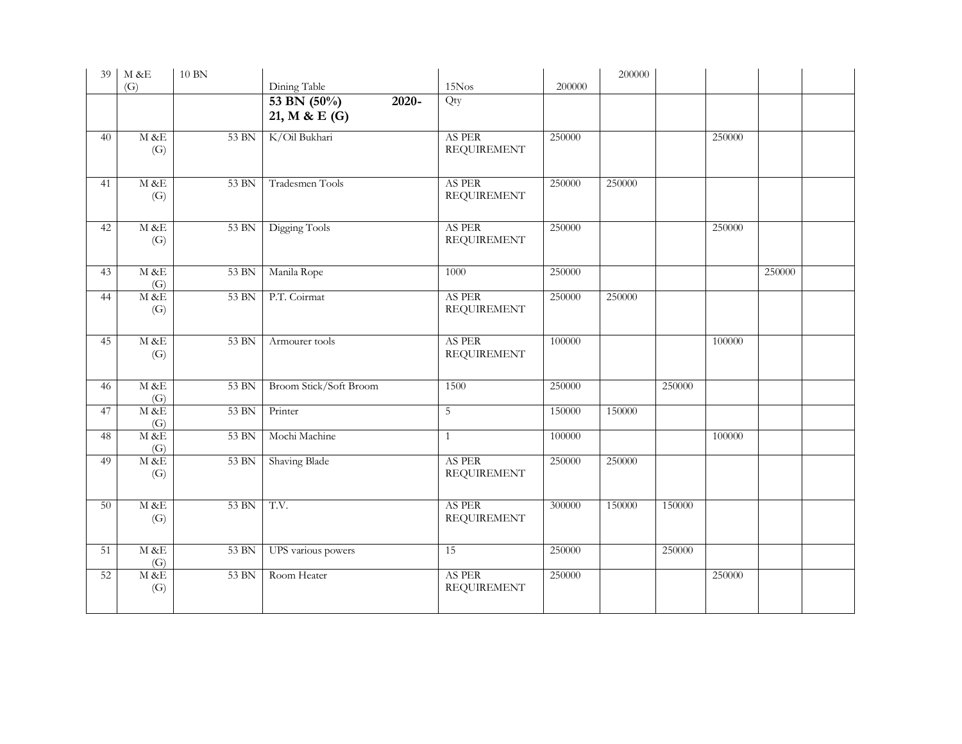| 39 | $\mathbf{M}$ &E | <b>10 BN</b> |                                            |                              |        | 200000 |        |        |        |  |
|----|-----------------|--------------|--------------------------------------------|------------------------------|--------|--------|--------|--------|--------|--|
|    | (G)             |              | Dining Table                               | 15Nos                        | 200000 |        |        |        |        |  |
|    |                 |              | 53 BN (50%)<br>$2020 -$<br>21, M & E $(G)$ | Qty                          |        |        |        |        |        |  |
| 40 | M & E<br>(G)    | 53 BN        | K/Oil Bukhari                              | AS PER<br><b>REQUIREMENT</b> | 250000 |        |        | 250000 |        |  |
| 41 | M &E<br>(G)     | 53 BN        | Tradesmen Tools                            | AS PER<br><b>REQUIREMENT</b> | 250000 | 250000 |        |        |        |  |
| 42 | M &E<br>(G)     | 53 BN        | Digging Tools                              | AS PER<br><b>REQUIREMENT</b> | 250000 |        |        | 250000 |        |  |
| 43 | M &E<br>(G)     | 53 BN        | Manila Rope                                | 1000                         | 250000 |        |        |        | 250000 |  |
| 44 | M &E<br>(G)     | 53 BN        | P.T. Coirmat                               | AS PER<br><b>REQUIREMENT</b> | 250000 | 250000 |        |        |        |  |
| 45 | M &E<br>(G)     | 53 BN        | Armourer tools                             | AS PER<br><b>REQUIREMENT</b> | 100000 |        |        | 100000 |        |  |
| 46 | M &E<br>(G)     | 53 BN        | Broom Stick/Soft Broom                     | 1500                         | 250000 |        | 250000 |        |        |  |
| 47 | M &E<br>(G)     | 53 BN        | Printer                                    | $\mathbf 5$                  | 150000 | 150000 |        |        |        |  |
| 48 | M &E<br>(G)     | 53 BN        | Mochi Machine                              | $\mathbf{1}$                 | 100000 |        |        | 100000 |        |  |
| 49 | $M$ &E<br>(G)   | 53 BN        | Shaving Blade                              | AS PER<br><b>REQUIREMENT</b> | 250000 | 250000 |        |        |        |  |
| 50 | M & E<br>(G)    | 53 BN        | T.V.                                       | AS PER<br><b>REQUIREMENT</b> | 300000 | 150000 | 150000 |        |        |  |
| 51 | M &E<br>(G)     | 53 BN        | UPS various powers                         | 15                           | 250000 |        | 250000 |        |        |  |
| 52 | $M$ &E<br>(G)   | 53 BN        | Room Heater                                | AS PER<br><b>REQUIREMENT</b> | 250000 |        |        | 250000 |        |  |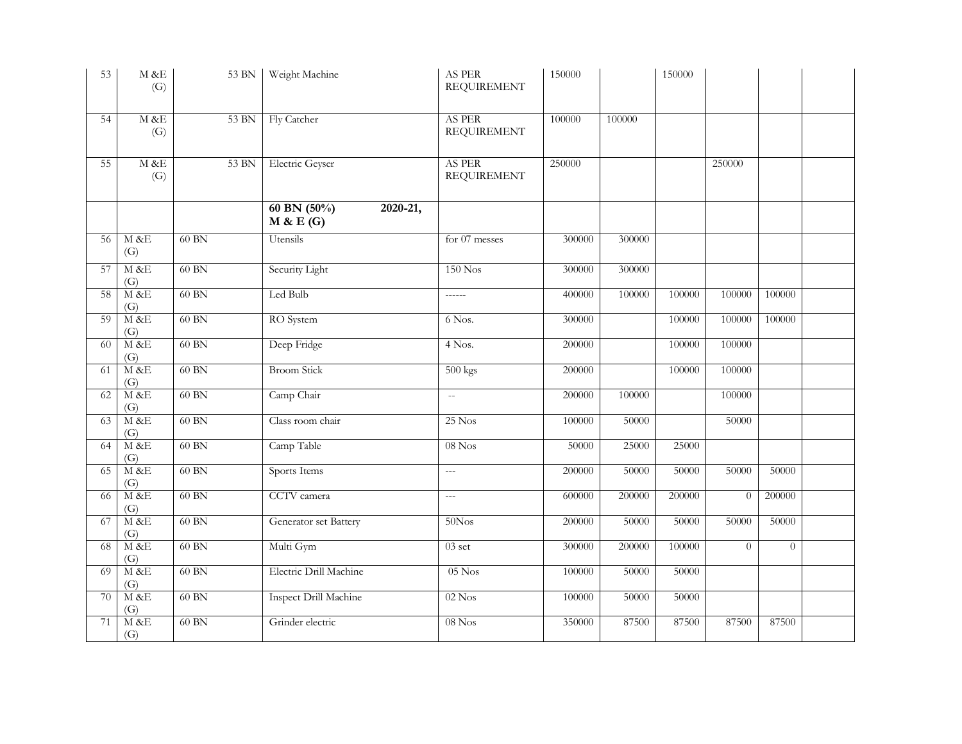| 53 | $M$ &E<br>(G)             | 53 BN   | Weight Machine                         | AS $\rm{PER}$<br><b>REQUIREMENT</b> | 150000 |        | 150000 |                |          |  |
|----|---------------------------|---------|----------------------------------------|-------------------------------------|--------|--------|--------|----------------|----------|--|
| 54 | M &E<br>(G)               | 53 BN   | Fly Catcher                            | AS PER<br><b>REQUIREMENT</b>        | 100000 | 100000 |        |                |          |  |
| 55 | M &E<br>(G)               | 53 BN   | Electric Geyser                        | AS PER<br><b>REQUIREMENT</b>        | 250000 |        |        | 250000         |          |  |
|    |                           |         | 60 BN $(50\%)$<br>2020-21,<br>M & E(G) |                                     |        |        |        |                |          |  |
| 56 | M &E<br>$\left( G\right)$ | 60 BN   | Utensils                               | for 07 messes                       | 300000 | 300000 |        |                |          |  |
| 57 | M &E<br>(G)               | 60 BN   | Security Light                         | $150$ Nos                           | 300000 | 300000 |        |                |          |  |
| 58 | $M$ &E<br>(G)             | 60 BN   | Led Bulb                               | $- - - - -$                         | 400000 | 100000 | 100000 | 100000         | 100000   |  |
| 59 | $M$ &E<br>(G)             | 60 BN   | RO System                              | 6 Nos.                              | 300000 |        | 100000 | 100000         | 100000   |  |
| 60 | M&E<br>(G)                | 60 BN   | Deep Fridge                            | 4 Nos.                              | 200000 |        | 100000 | 100000         |          |  |
| 61 | M &E<br>(G)               | 60 BN   | <b>Broom Stick</b>                     | $500$ kgs                           | 200000 |        | 100000 | 100000         |          |  |
| 62 | $M$ &E<br>(G)             | 60 BN   | Camp Chair                             | $\mathbb{L}^{\mathbb{L}}$           | 200000 | 100000 |        | 100000         |          |  |
| 63 | M &E<br>(G)               | 60 BN   | Class room chair                       | $25$ Nos                            | 100000 | 50000  |        | 50000          |          |  |
| 64 | M&E<br>(G)                | 60 BN   | Camp Table                             | $08$ Nos                            | 50000  | 25000  | 25000  |                |          |  |
| 65 | M &E<br>(G)               | 60 BN   | Sports Items                           | $\overline{a}$                      | 200000 | 50000  | 50000  | 50000          | 50000    |  |
| 66 | M&E<br>(G)                | 60 BN   | CCTV camera                            | $\overline{a}$                      | 600000 | 200000 | 200000 | $\overline{0}$ | 200000   |  |
| 67 | M &E<br>(G)               | 60 BN   | Generator set Battery                  | $50N$ os                            | 200000 | 50000  | 50000  | 50000          | 50000    |  |
| 68 | M & E<br>(G)              | $60$ BN | Multi Gym                              | $03$ set                            | 300000 | 200000 | 100000 | $\overline{0}$ | $\theta$ |  |
| 69 | $M$ &E<br>(G)             | 60 BN   | Electric Drill Machine                 | $05$ Nos                            | 100000 | 50000  | 50000  |                |          |  |
| 70 | M&E<br>(G)                | 60 BN   | <b>Inspect Drill Machine</b>           | $02$ Nos                            | 100000 | 50000  | 50000  |                |          |  |
| 71 | M&E<br>(G)                | 60 BN   | Grinder electric                       | $08$ Nos                            | 350000 | 87500  | 87500  | 87500          | 87500    |  |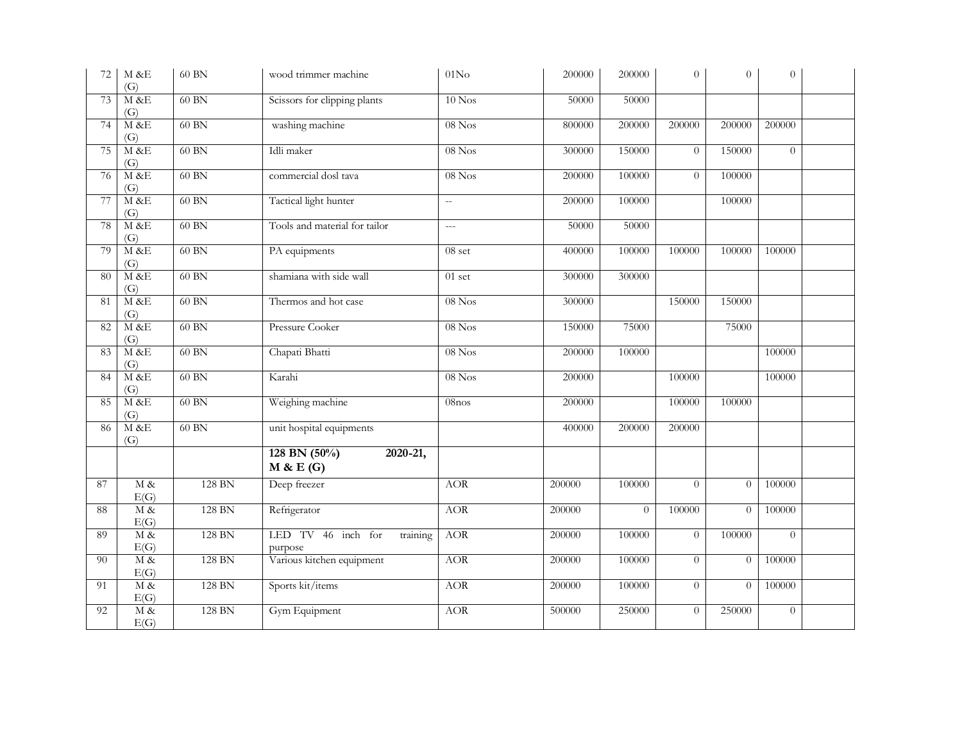| 72 | $\rm M$ &E<br>(G)          | 60 BN   | wood trimmer machine                      | 01N <sub>O</sub> | 200000 | 200000   | $\Omega$       | $\Omega$       | $\theta$ |  |
|----|----------------------------|---------|-------------------------------------------|------------------|--------|----------|----------------|----------------|----------|--|
| 73 | M &E<br>(G)                | 60 BN   | Scissors for clipping plants              | $10$ Nos         | 50000  | 50000    |                |                |          |  |
| 74 | $M$ &E<br>(G)              | 60 BN   | washing machine                           | $08$ Nos         | 800000 | 200000   | 200000         | 200000         | 200000   |  |
| 75 | $M$ &E<br>(G)              | $60$ BN | Idli maker                                | $08$ Nos         | 300000 | 150000   | $\theta$       | 150000         | $\theta$ |  |
| 76 | M&E<br>(G)                 | 60 BN   | commercial dosl tava                      | $08$ Nos         | 200000 | 100000   | $\overline{0}$ | 100000         |          |  |
| 77 | M &E<br>(G)                | 60 BN   | Tactical light hunter                     | $\overline{a}$   | 200000 | 100000   |                | 100000         |          |  |
| 78 | M&E<br>(G)                 | 60 BN   | Tools and material for tailor             | $\overline{a}$   | 50000  | 50000    |                |                |          |  |
| 79 | M &E<br>(G)                | 60 BN   | PA equipments                             | 08 set           | 400000 | 100000   | 100000         | 100000         | 100000   |  |
| 80 | $M$ &E<br>(G)              | 60 BN   | shamiana with side wall                   | $01$ set         | 300000 | 300000   |                |                |          |  |
| 81 | M&E<br>(G)                 | 60 BN   | Thermos and hot case                      | $08$ Nos         | 300000 |          | 150000         | 150000         |          |  |
| 82 | $M$ &E<br>(G)              | 60 BN   | Pressure Cooker                           | $08$ Nos         | 150000 | 75000    |                | 75000          |          |  |
| 83 | $M$ & E<br>(G)             | 60 BN   | Chapati Bhatti                            | $08$ Nos         | 200000 | 100000   |                |                | 100000   |  |
| 84 | M &E<br>(G)                | 60 BN   | Karahi                                    | $08$ Nos         | 200000 |          | 100000         |                | 100000   |  |
| 85 | $M$ &E<br>(G)              | 60 BN   | Weighing machine                          | $08$ nos         | 200000 |          | 100000         | 100000         |          |  |
| 86 | $M$ &E<br>(G)              | 60 BN   | unit hospital equipments                  |                  | 400000 | 200000   | 200000         |                |          |  |
|    |                            |         | 128 BN $(50\%)$<br>2020-21,<br>M & E(G)   |                  |        |          |                |                |          |  |
| 87 | M &<br>E(G)                | 128 BN  | Deep freezer                              | <b>AOR</b>       | 200000 | 100000   | $\Omega$       | $\theta$       | 100000   |  |
| 88 | M &<br>E(G)                | 128 BN  | Refrigerator                              | <b>AOR</b>       | 200000 | $\theta$ | 100000         | $\theta$       | 100000   |  |
| 89 | $\overline{M\ \&}$<br>E(G) | 128 BN  | LED TV 46 inch for<br>training<br>purpose | <b>AOR</b>       | 200000 | 100000   | $\overline{0}$ | 100000         | $\Omega$ |  |
| 90 | M &<br>E(G)                | 128 BN  | Various kitchen equipment                 | <b>AOR</b>       | 200000 | 100000   | $\overline{0}$ | $\overline{0}$ | 100000   |  |
| 91 | $M\&$<br>E(G)              | 128 BN  | Sports kit/items                          | <b>AOR</b>       | 200000 | 100000   | $\overline{0}$ | $\theta$       | 100000   |  |
| 92 | M &<br>E(G)                | 128 BN  | Gym Equipment                             | <b>AOR</b>       | 500000 | 250000   | $\theta$       | 250000         | $\theta$ |  |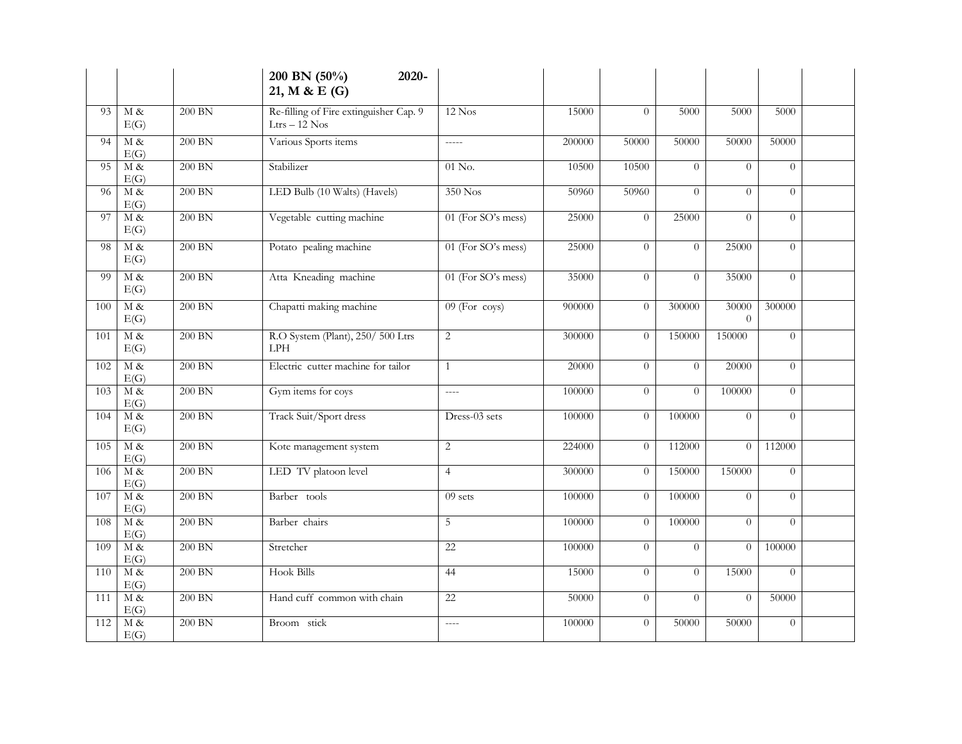|     |                       |          | 200 BN (50%)<br>2020-<br>21, M & E (G)                    |                    |        |                |                |                   |          |  |
|-----|-----------------------|----------|-----------------------------------------------------------|--------------------|--------|----------------|----------------|-------------------|----------|--|
| 93  | $M \&$<br>E(G)        | 200 BN   | Re-filling of Fire extinguisher Cap. 9<br>$Ltrs - 12$ Nos | $12$ Nos           | 15000  | $\Omega$       | 5000           | 5000              | 5000     |  |
| 94  | M &<br>E(G)           | 200 BN   | Various Sports items                                      | $---$              | 200000 | 50000          | 50000          | 50000             | 50000    |  |
| 95  | M &<br>E(G)           | $200$ BN | Stabilizer                                                | $01$ No.           | 10500  | 10500          | $\Omega$       | $\Omega$          | $\theta$ |  |
| 96  | M&<br>E(G)            | $200$ BN | LED Bulb (10 Walts) (Havels)                              | 350 Nos            | 50960  | 50960          | $\overline{0}$ | $\theta$          | $\Omega$ |  |
| 97  | M &<br>E(G)           | 200 BN   | Vegetable cutting machine                                 | 01 (For SO's mess) | 25000  | $\Omega$       | 25000          | $\Omega$          | $\Omega$ |  |
| 98  | M &<br>E(G)           | 200 BN   | Potato pealing machine                                    | 01 (For SO's mess) | 25000  | $\Omega$       | $\Omega$       | 25000             | $\Omega$ |  |
| 99  | M&<br>E(G)            | $200$ BN | Atta Kneading machine                                     | 01 (For SO's mess) | 35000  | $\theta$       | $\Omega$       | 35000             | $\theta$ |  |
| 100 | $M \&$<br>E(G)        | $200$ BN | Chapatti making machine                                   | $09$ (For coys)    | 900000 | $\theta$       | 300000         | 30000<br>$\Omega$ | 300000   |  |
| 101 | M&<br>E(G)            | $200$ BN | R.O System (Plant), 250/500 Ltrs<br><b>LPH</b>            | $\overline{c}$     | 300000 | $\theta$       | 150000         | 150000            | $\theta$ |  |
| 102 | M &<br>E(G)           | $200$ BN | Electric cutter machine for tailor                        | $\mathbf{1}$       | 20000  | $\overline{0}$ | $\Omega$       | 20000             | $\theta$ |  |
| 103 | M&<br>E(G)            | $200$ BN | Gym items for coys                                        | $---$              | 100000 | $\theta$       | $\theta$       | 100000            | $\theta$ |  |
| 104 | $M\alpha$<br>E(G)     | 200 BN   | Track Suit/Sport dress                                    | Dress-03 sets      | 100000 | $\theta$       | 100000         | $\Omega$          | $\Omega$ |  |
| 105 | M&<br>E(G)            | 200 BN   | Kote management system                                    | $\overline{c}$     | 224000 | $\theta$       | 112000         | $\overline{0}$    | 112000   |  |
| 106 | M &<br>E(G)           | $200$ BN | LED TV platoon level                                      | $\overline{4}$     | 300000 | $\theta$       | 150000         | 150000            | $\theta$ |  |
| 107 | M&<br>E(G)            | 200 BN   | Barber tools                                              | $09$ sets          | 100000 | $\overline{0}$ | 100000         | $\Omega$          | $\theta$ |  |
| 108 | $M \&$<br>E(G)        | $200$ BN | Barber chairs                                             | 5                  | 100000 | $\theta$       | 100000         | $\Omega$          | $\Omega$ |  |
| 109 | $M\alpha$<br>E(G)     | $200$ BN | Stretcher                                                 | 22                 | 100000 | $\overline{0}$ | $\theta$       | $\overline{0}$    | 100000   |  |
| 110 | $M\&$<br>E(G)         | 200 BN   | <b>Hook Bills</b>                                         | 44                 | 15000  | $\theta$       | $\overline{0}$ | 15000             | $\theta$ |  |
| 111 | $M \&$<br>E(G)        | $200$ BN | Hand cuff common with chain                               | 22                 | 50000  | $\theta$       | $\Omega$       | $\theta$          | 50000    |  |
| 112 | $\mathbf M$ &<br>E(G) | 200 BN   | Broom stick                                               | $---$              | 100000 | $\overline{0}$ | 50000          | 50000             | $\theta$ |  |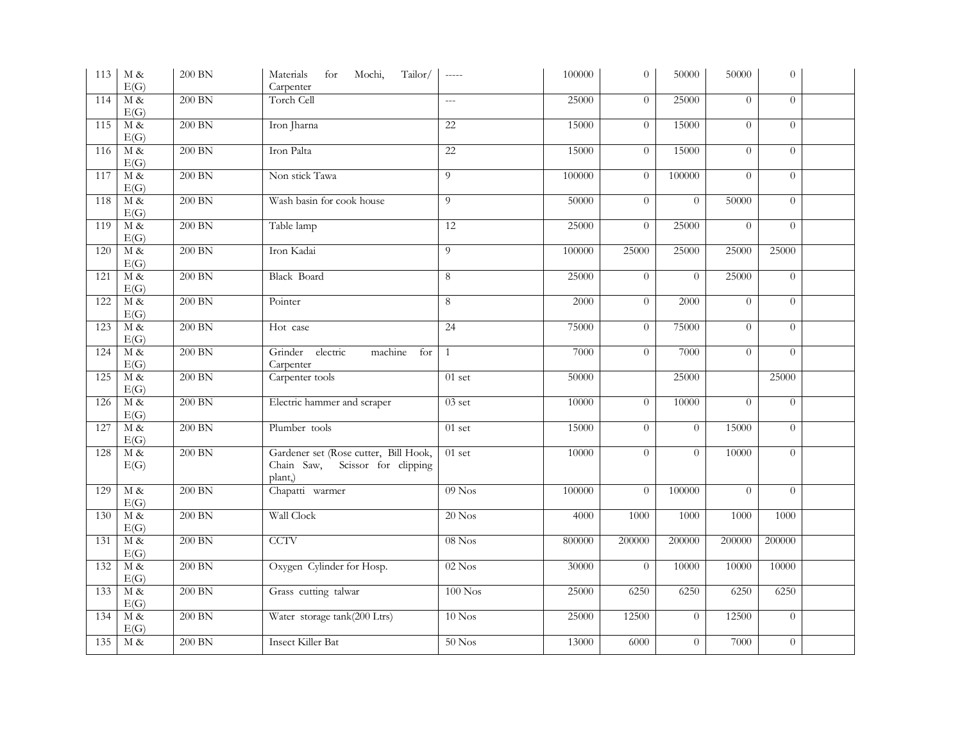| 113 | $\mathbf M$ &<br>E(G)      | 200 BN   | Materials<br>for<br>Mochi,<br>Tailor/<br>Carpenter                                     | $\frac{1}{2}$  | 100000 | $\overline{0}$ | 50000          | 50000    | $\overline{0}$ |  |
|-----|----------------------------|----------|----------------------------------------------------------------------------------------|----------------|--------|----------------|----------------|----------|----------------|--|
| 114 | M&<br>E(G)                 | $200$ BN | Torch Cell                                                                             | $\overline{a}$ | 25000  | $\overline{0}$ | 25000          | $\Omega$ | $\Omega$       |  |
| 115 | M&<br>E(G)                 | $200$ BN | Iron Jharna                                                                            | 22             | 15000  | $\overline{0}$ | 15000          | $\theta$ | $\Omega$       |  |
| 116 | $M \&$<br>E(G)             | $200$ BN | Iron Palta                                                                             | 22             | 15000  | $\overline{0}$ | 15000          | $\theta$ | $\Omega$       |  |
| 117 | $\overline{M\ \&}$<br>E(G) | 200 BN   | Non stick Tawa                                                                         | $\overline{9}$ | 100000 | $\overline{0}$ | 100000         | $\Omega$ | $\Omega$       |  |
| 118 | $M\alpha$<br>E(G)          | $200$ BN | Wash basin for cook house                                                              | 9              | 50000  | $\Omega$       | $\Omega$       | 50000    | $\theta$       |  |
| 119 | $M\alpha$<br>E(G)          | 200 BN   | Table lamp                                                                             | 12             | 25000  | $\overline{0}$ | 25000          | $\theta$ | $\theta$       |  |
| 120 | $M\alpha$<br>E(G)          | 200 BN   | Iron Kadai                                                                             | 9              | 100000 | 25000          | 25000          | 25000    | 25000          |  |
| 121 | $M\alpha$<br>E(G)          | 200 BN   | <b>Black Board</b>                                                                     | $\overline{8}$ | 25000  | $\overline{0}$ | $\overline{0}$ | 25000    | $\Omega$       |  |
| 122 | $M\alpha$<br>E(G)          | 200 BN   | Pointer                                                                                | 8              | 2000   | $\overline{0}$ | 2000           | $\theta$ | $\overline{0}$ |  |
| 123 | $M\alpha$<br>E(G)          | 200 BN   | Hot case                                                                               | 24             | 75000  | $\overline{0}$ | 75000          | $\theta$ | $\Omega$       |  |
| 124 | $M\alpha$<br>E(G)          | $200$ BN | electric<br>Grinder<br>machine<br>for<br>Carpenter                                     | $\mathbf{1}$   | 7000   | $\overline{0}$ | 7000           | $\theta$ | $\theta$       |  |
| 125 | $M \&$<br>E(G)             | 200 BN   | Carpenter tools                                                                        | $01$ set       | 50000  |                | 25000          |          | 25000          |  |
| 126 | $M\alpha$<br>E(G)          | $200$ BN | Electric hammer and scraper                                                            | $03$ set       | 10000  | $\overline{0}$ | 10000          | $\Omega$ | $\Omega$       |  |
| 127 | $M\alpha$<br>E(G)          | 200 BN   | Plumber tools                                                                          | $01$ set       | 15000  | $\theta$       | $\Omega$       | 15000    | $\theta$       |  |
| 128 | M &<br>E(G)                | $200$ BN | Gardener set (Rose cutter, Bill Hook,<br>Scissor for clipping<br>Chain Saw,<br>plant,) | $01$ set       | 10000  | $\overline{0}$ | $\Omega$       | 10000    | $\theta$       |  |
| 129 | M &<br>E(G)                | $200$ BN | Chapatti warmer                                                                        | $09$ Nos       | 100000 | $\Omega$       | 100000         | $\Omega$ | $\theta$       |  |
| 130 | M&<br>E(G)                 | $200$ BN | Wall Clock                                                                             | $20$ Nos       | 4000   | 1000           | 1000           | 1000     | 1000           |  |
| 131 | M&<br>E(G)                 | $200$ BN | <b>CCTV</b>                                                                            | $08$ Nos       | 800000 | 200000         | 200000         | 200000   | 200000         |  |
| 132 | M &<br>E(G)                | 200 BN   | Oxygen Cylinder for Hosp.                                                              | $02$ Nos       | 30000  | $\theta$       | 10000          | 10000    | 10000          |  |
| 133 | $M\alpha$<br>E(G)          | 200 BN   | Grass cutting talwar                                                                   | $100$ Nos      | 25000  | 6250           | 6250           | 6250     | 6250           |  |
| 134 | $M\alpha$<br>E(G)          | 200 BN   | Water storage tank(200 Ltrs)                                                           | $10$ Nos       | 25000  | 12500          | $\theta$       | 12500    | $\theta$       |  |
| 135 | M &                        | $200$ BN | <b>Insect Killer Bat</b>                                                               | $50$ Nos       | 13000  | 6000           | $\theta$       | 7000     | $\overline{0}$ |  |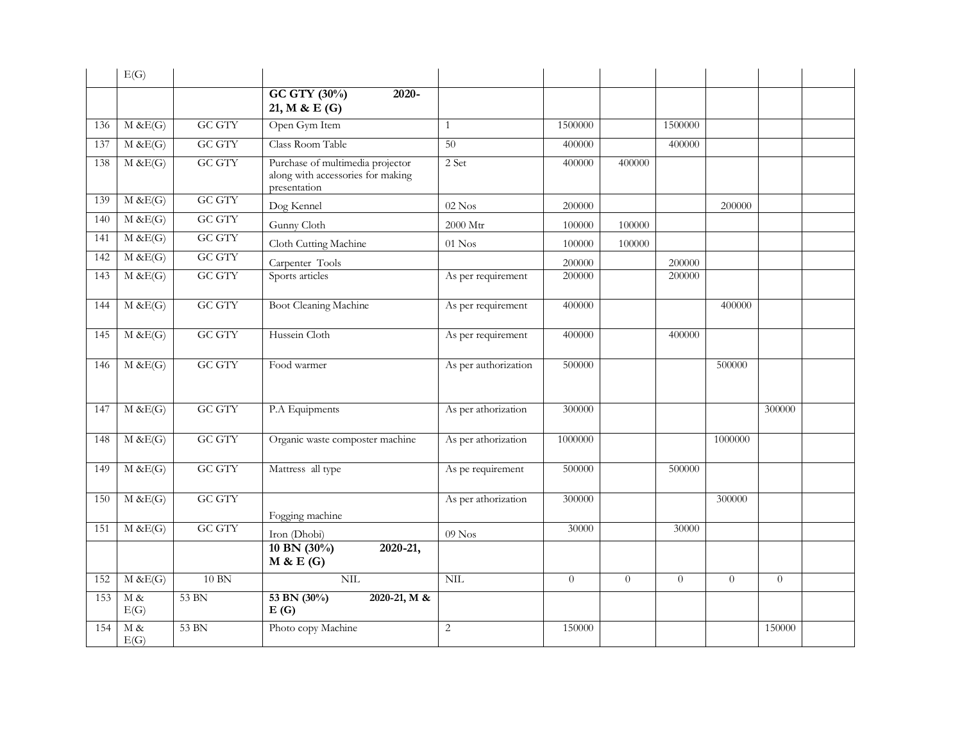|     | E(G)                  |               |                                                                                       |                      |          |          |          |          |          |  |
|-----|-----------------------|---------------|---------------------------------------------------------------------------------------|----------------------|----------|----------|----------|----------|----------|--|
|     |                       |               | GC GTY (30%)<br>$2020 -$<br>21, M & E (G)                                             |                      |          |          |          |          |          |  |
| 136 | M & E(G)              | GC GTY        | Open Gym Item                                                                         | $\mathbf{1}$         | 1500000  |          | 1500000  |          |          |  |
| 137 | M & E(G)              | <b>GC GTY</b> | Class Room Table                                                                      | 50                   | 400000   |          | 400000   |          |          |  |
| 138 | M & E(G)              | <b>GC GTY</b> | Purchase of multimedia projector<br>along with accessories for making<br>presentation | 2 Set                | 400000   | 400000   |          |          |          |  |
| 139 | M & E(G)              | <b>GC GTY</b> | Dog Kennel                                                                            | $02$ Nos             | 200000   |          |          | 200000   |          |  |
| 140 | M & E(G)              | <b>GC GTY</b> | Gunny Cloth                                                                           | 2000 Mtr             | 100000   | 100000   |          |          |          |  |
| 141 | M & E(G)              | <b>GC GTY</b> | Cloth Cutting Machine                                                                 | $01$ Nos             | 100000   | 100000   |          |          |          |  |
| 142 | M & E(G)              | <b>GC GTY</b> | Carpenter Tools                                                                       |                      | 200000   |          | 200000   |          |          |  |
| 143 | M & E(G)              | <b>GC GTY</b> | Sports articles                                                                       | As per requirement   | 200000   |          | 200000   |          |          |  |
| 144 | $M \& E(G)$           | <b>GC GTY</b> | Boot Cleaning Machine                                                                 | As per requirement   | 400000   |          |          | 400000   |          |  |
| 145 | M & E(G)              | <b>GC GTY</b> | Hussein Cloth                                                                         | As per requirement   | 400000   |          | 400000   |          |          |  |
| 146 | M & E(G)              | <b>GC GTY</b> | Food warmer                                                                           | As per authorization | 500000   |          |          | 500000   |          |  |
| 147 | M & E(G)              | <b>GC GTY</b> | P.A Equipments                                                                        | As per athorization  | 300000   |          |          |          | 300000   |  |
| 148 | M & E(G)              | <b>GC GTY</b> | Organic waste composter machine                                                       | As per athorization  | 1000000  |          |          | 1000000  |          |  |
| 149 | M & E(G)              | <b>GC GTY</b> | Mattress all type                                                                     | As pe requirement    | 500000   |          | 500000   |          |          |  |
| 150 | M & E(G)              | <b>GC GTY</b> | Fogging machine                                                                       | As per athorization  | 300000   |          |          | 300000   |          |  |
| 151 | M & E(G)              | <b>GC GTY</b> | Iron (Dhobi)                                                                          | $09$ Nos             | 30000    |          | 30000    |          |          |  |
|     |                       |               | 10 BN $(30\%)$<br>$2020 - 21,$<br>M & E(G)                                            |                      |          |          |          |          |          |  |
| 152 | M & E(G)              | 10 BN         | $\text{NIL}$                                                                          | $\text{NIL}$         | $\theta$ | $\theta$ | $\theta$ | $\theta$ | $\theta$ |  |
| 153 | $\mathbf M$ &<br>E(G) | 53 BN         | 53 BN (30%)<br>2020-21, M &<br>E(G)                                                   |                      |          |          |          |          |          |  |
| 154 | $\mathbf M$ &<br>E(G) | 53 BN         | Photo copy Machine                                                                    | 2                    | 150000   |          |          |          | 150000   |  |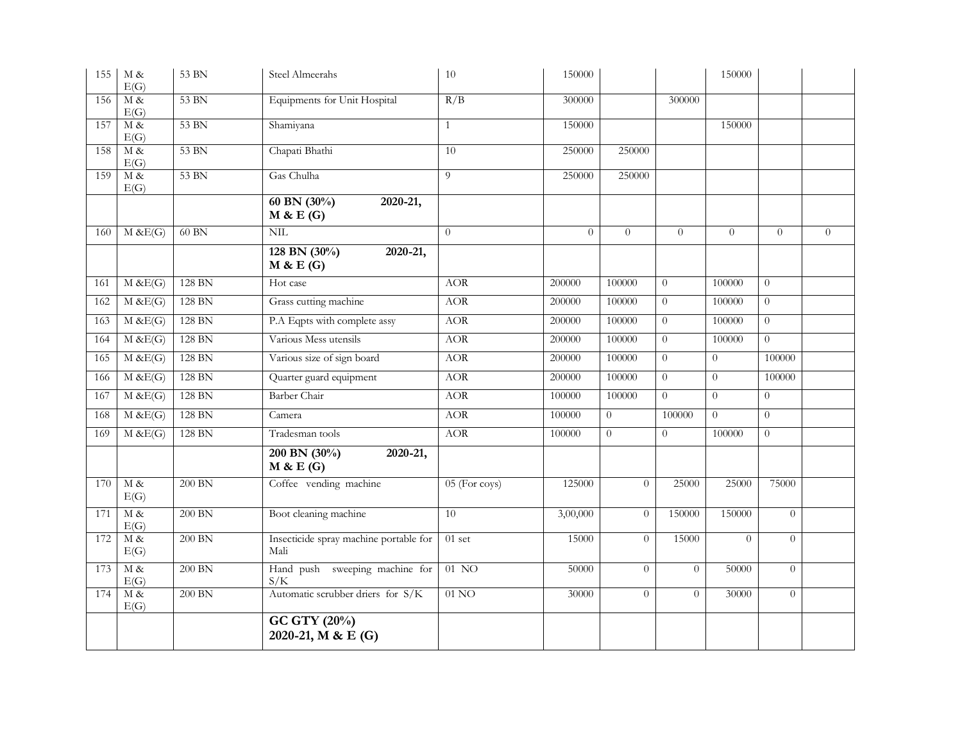| 155 | M &<br>E(G)       | 53 BN    | Steel Almeerahs                                | 10               | 150000   |          |                | 150000         |                |                |
|-----|-------------------|----------|------------------------------------------------|------------------|----------|----------|----------------|----------------|----------------|----------------|
| 156 | $M \&$<br>E(G)    | 53 BN    | Equipments for Unit Hospital                   | R/B              | 300000   |          | 300000         |                |                |                |
| 157 | M &<br>E(G)       | 53 BN    | Shamiyana                                      | $\mathbf{1}$     | 150000   |          |                | 150000         |                |                |
| 158 | M &<br>E(G)       | 53 BN    | Chapati Bhathi                                 | 10               | 250000   | 250000   |                |                |                |                |
| 159 | $M\alpha$<br>E(G) | 53 BN    | Gas Chulha                                     | $\overline{9}$   | 250000   | 250000   |                |                |                |                |
|     |                   |          | 60 BN $(30\%)$<br>2020-21,<br>M & E(G)         |                  |          |          |                |                |                |                |
| 160 | $M \& E(G)$       | $60$ BN  | NIL                                            | $\theta$         | $\Omega$ | $\Omega$ | $\Omega$       | $\theta$       | $\theta$       | $\overline{0}$ |
|     |                   |          | 128 BN $(30\%)$<br>2020-21,<br>M & E(G)        |                  |          |          |                |                |                |                |
| 161 | $M \& E(G)$       | 128 BN   | Hot case                                       | <b>AOR</b>       | 200000   | 100000   | $\Omega$       | 100000         | $\Omega$       |                |
| 162 | M & E(G)          | 128 BN   | Grass cutting machine                          | <b>AOR</b>       | 200000   | 100000   | $\theta$       | 100000         | $\overline{0}$ |                |
| 163 | M & E(G)          | 128 BN   | P.A Eqpts with complete assy                   | <b>AOR</b>       | 200000   | 100000   | $\theta$       | 100000         | $\overline{0}$ |                |
| 164 | M & E(G)          | 128 BN   | Various Mess utensils                          | <b>AOR</b>       | 200000   | 100000   | $\overline{0}$ | 100000         | $\overline{0}$ |                |
| 165 | $M \& E(G)$       | 128 BN   | Various size of sign board                     | <b>AOR</b>       | 200000   | 100000   | $\overline{0}$ | $\overline{0}$ | 100000         |                |
| 166 | $M \& E(G)$       | 128 BN   | Quarter guard equipment                        | <b>AOR</b>       | 200000   | 100000   | $\theta$       | $\overline{0}$ | 100000         |                |
| 167 | M & E(G)          | 128 BN   | <b>Barber</b> Chair                            | <b>AOR</b>       | 100000   | 100000   | $\theta$       | $\overline{0}$ | $\overline{0}$ |                |
| 168 | M & E(G)          | 128 BN   | Camera                                         | <b>AOR</b>       | 100000   | $\theta$ | 100000         | $\overline{0}$ | $\overline{0}$ |                |
| 169 | $M \& E(G)$       | 128 BN   | Tradesman tools                                | <b>AOR</b>       | 100000   | $\Omega$ | $\theta$       | 100000         | $\theta$       |                |
|     |                   |          | 200 BN $(30\%)$<br>2020-21,<br>M & E(G)        |                  |          |          |                |                |                |                |
| 170 | M &<br>E(G)       | $200$ BN | Coffee vending machine                         | $05$ (For coys)  | 125000   | $\theta$ | 25000          | 25000          | 75000          |                |
| 171 | M &<br>E(G)       | $200$ BN | Boot cleaning machine                          | 10               | 3,00,000 | $\theta$ | 150000         | 150000         | $\Omega$       |                |
| 172 | $M\alpha$<br>E(G) | 200 BN   | Insecticide spray machine portable for<br>Mali | $01$ set         | 15000    | $\Omega$ | 15000          | $\Omega$       | $\theta$       |                |
| 173 | $M \&$<br>E(G)    | $200$ BN | Hand push sweeping machine for<br>S/K          | $01$ NO          | 50000    | $\theta$ | $\Omega$       | 50000          | $\theta$       |                |
| 174 | $M\alpha$<br>E(G) | 200 BN   | Automatic scrubber driers for S/K              | 01 <sub>NO</sub> | 30000    | $\theta$ | $\theta$       | 30000          | $\overline{0}$ |                |
|     |                   |          | GC GTY (20%)<br>2020-21, M & E (G)             |                  |          |          |                |                |                |                |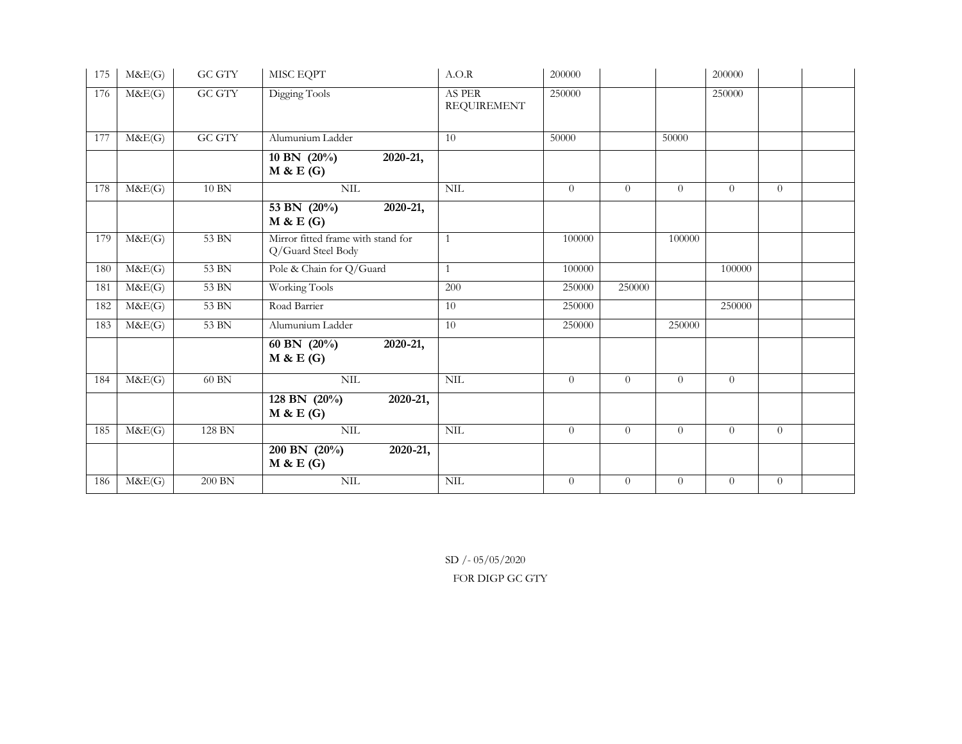| 175 | M&E(G) | <b>GC GTY</b>      | MISC EQPT                                                | A.O.R                        | 200000   |          |                | 200000         |                |  |
|-----|--------|--------------------|----------------------------------------------------------|------------------------------|----------|----------|----------------|----------------|----------------|--|
| 176 | M&E(G) | <b>GC GTY</b>      | Digging Tools                                            | AS PER<br><b>REQUIREMENT</b> | 250000   |          |                | 250000         |                |  |
| 177 | M&E(G) | <b>GC GTY</b>      | Alumunium Ladder                                         | 10                           | 50000    |          | 50000          |                |                |  |
|     |        |                    | 10 BN $(20\%)$<br>2020-21,<br>M & E(G)                   |                              |          |          |                |                |                |  |
| 178 | M&E(G) | $10$ $\rm{BN}$     | NIL                                                      | $\mbox{NIL}$                 | $\theta$ | $\theta$ | $\theta$       | $\theta$       | $\theta$       |  |
|     |        |                    | 53 BN $(20\%)$<br>2020-21,<br>M & E(G)                   |                              |          |          |                |                |                |  |
| 179 | M&E(G) | 53 BN              | Mirror fitted frame with stand for<br>Q/Guard Steel Body | $\mathbf{1}$                 | 100000   |          | 100000         |                |                |  |
| 180 | M&E(G) | 53 BN              | Pole & Chain for Q/Guard                                 | $\mathbf{1}$                 | 100000   |          |                | 100000         |                |  |
| 181 | M&E(G) | 53 BN              | Working Tools                                            | 200                          | 250000   | 250000   |                |                |                |  |
| 182 | M&E(G) | 53 BN              | Road Barrier                                             | 10                           | 250000   |          |                | 250000         |                |  |
| 183 | M&E(G) | 53 BN              | Alumunium Ladder                                         | 10                           | 250000   |          | 250000         |                |                |  |
|     |        |                    | 60 BN $(20\%)$<br>2020-21,<br>M & E(G)                   |                              |          |          |                |                |                |  |
| 184 | M&E(G) | 60 BN              | NIL                                                      | $\text{NIL}$                 | $\theta$ | $\theta$ | $\theta$       | $\theta$       |                |  |
|     |        |                    | 128 BN $(20\%)$<br>2020-21,<br>M & E(G)                  |                              |          |          |                |                |                |  |
| 185 | M&E(G) | 128 BN             | $\mbox{NIL}$                                             | $\text{NIL}$                 | $\theta$ | $\theta$ | $\theta$       | $\theta$       | $\theta$       |  |
|     |        |                    | $200$ BN $(20\%)$<br>2020-21,<br>M & E(G)                |                              |          |          |                |                |                |  |
| 186 | M&E(G) | $200\ \mathrm{BN}$ | $\mbox{NIL}$                                             | $\text{NIL}$                 | $\theta$ | $\theta$ | $\overline{0}$ | $\overline{0}$ | $\overline{0}$ |  |

SD /- 05/05/2020 FOR DIGP GC GTY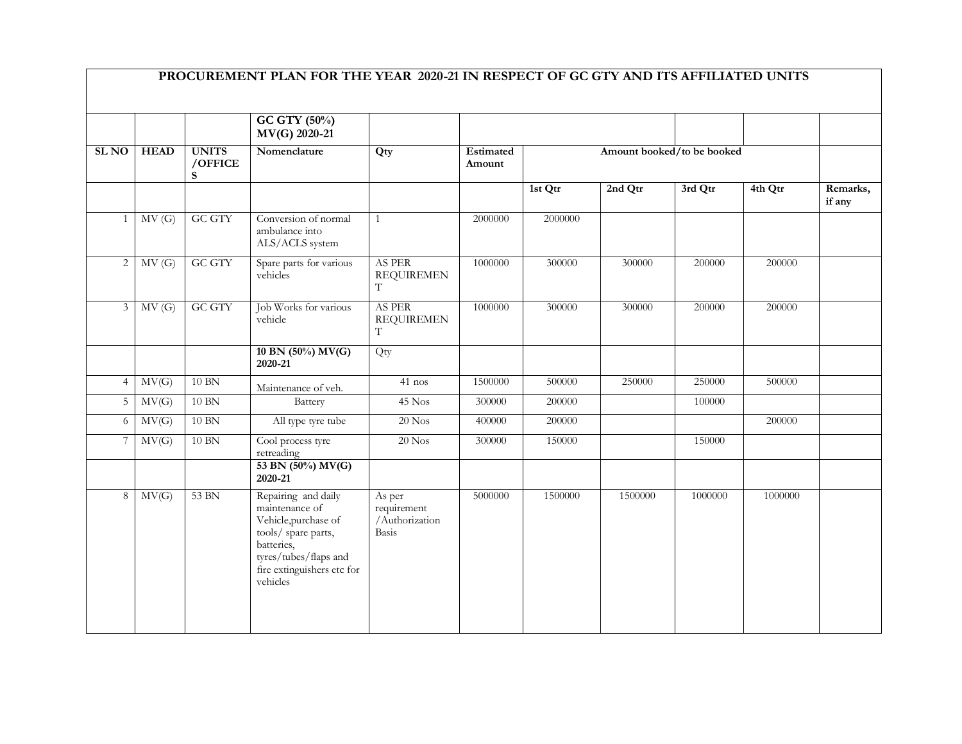|                |             |                              | GC GTY (50%)<br>MV(G) 2020-21                                                                                                                                         |                                                  |                     |         |         |                            |         |                    |
|----------------|-------------|------------------------------|-----------------------------------------------------------------------------------------------------------------------------------------------------------------------|--------------------------------------------------|---------------------|---------|---------|----------------------------|---------|--------------------|
| <b>SLNO</b>    | <b>HEAD</b> | <b>UNITS</b><br>/OFFICE<br>S | Nomenclature                                                                                                                                                          | Qty                                              | Estimated<br>Amount |         |         | Amount booked/to be booked |         |                    |
|                |             |                              |                                                                                                                                                                       |                                                  |                     | 1st Qtr | 2nd Qtr | 3rd Qtr                    | 4th Qtr | Remarks,<br>if any |
| $\mathbf{1}$   | MV(G)       | <b>GC GTY</b>                | Conversion of normal<br>ambulance into<br>ALS/ACLS system                                                                                                             | $\mathbf{1}$                                     | 2000000             | 2000000 |         |                            |         |                    |
| $\overline{c}$ | MV(G)       | <b>GC GTY</b>                | Spare parts for various<br>vehicles                                                                                                                                   | AS PER<br><b>REQUIREMEN</b><br>T                 | 1000000             | 300000  | 300000  | 200000                     | 200000  |                    |
| $\mathfrak{Z}$ | MV(G)       | <b>GC GTY</b>                | Job Works for various<br>vehicle                                                                                                                                      | AS PER<br><b>REQUIREMEN</b><br>T                 | 1000000             | 300000  | 300000  | 200000                     | 200000  |                    |
|                |             |                              | 10 BN $(50\%)$ MV(G)<br>2020-21                                                                                                                                       | Qty                                              |                     |         |         |                            |         |                    |
| $\overline{4}$ | MV(G)       | 10 BN                        | Maintenance of veh.                                                                                                                                                   | $41$ nos                                         | 1500000             | 500000  | 250000  | 250000                     | 500000  |                    |
| 5              | MV(G)       | $10$ BN                      | Battery                                                                                                                                                               | 45 Nos                                           | 300000              | 200000  |         | 100000                     |         |                    |
| 6              | MV(G)       | $10$ BN                      | All type tyre tube                                                                                                                                                    | $20$ Nos                                         | 400000              | 200000  |         |                            | 200000  |                    |
|                | MV(G)       | $10$ $\rm{BN}$               | Cool process tyre<br>retreading                                                                                                                                       | $20$ Nos                                         | 300000              | 150000  |         | 150000                     |         |                    |
|                |             |                              | 53 BN (50%) MV(G)<br>2020-21                                                                                                                                          |                                                  |                     |         |         |                            |         |                    |
| 8              | MV(G)       | 53 BN                        | Repairing and daily<br>maintenance of<br>Vehicle, purchase of<br>tools/ spare parts,<br>batteries,<br>tyres/tubes/flaps and<br>fire extinguishers etc for<br>vehicles | As per<br>requirement<br>/Authorization<br>Basis | 5000000             | 1500000 | 1500000 | 1000000                    | 1000000 |                    |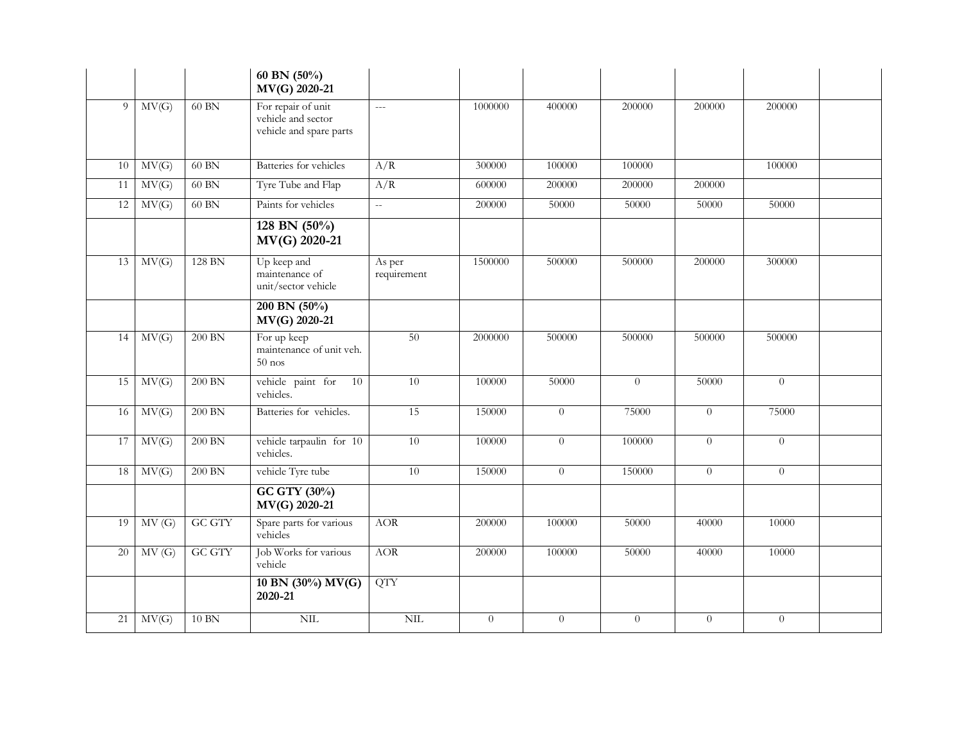|    |       |               | 60 BN $(50\%)$<br>MV(G) 2020-21                                     |                             |          |                |                |                |                |  |
|----|-------|---------------|---------------------------------------------------------------------|-----------------------------|----------|----------------|----------------|----------------|----------------|--|
| 9  | MV(G) | 60 BN         | For repair of unit<br>vehicle and sector<br>vehicle and spare parts | $\overline{a}$              | 1000000  | 400000         | 200000         | 200000         | 200000         |  |
| 10 | MV(G) | $60$ BN       | Batteries for vehicles                                              | A/R                         | 300000   | 100000         | 100000         |                | 100000         |  |
| 11 | MV(G) | 60 BN         | Tyre Tube and Flap                                                  | A/R                         | 600000   | 200000         | 200000         | 200000         |                |  |
| 12 | MV(G) | 60 BN         | Paints for vehicles                                                 | $\mathcal{L}_{\mathcal{L}}$ | 200000   | 50000          | 50000          | 50000          | 50000          |  |
|    |       |               | 128 BN $(50\%)$<br>MV(G) 2020-21                                    |                             |          |                |                |                |                |  |
| 13 | MV(G) | 128 BN        | Up keep and<br>maintenance of<br>unit/sector vehicle                | As per<br>requirement       | 1500000  | 500000         | 500000         | 200000         | 300000         |  |
|    |       |               | 200 BN $(50\%)$<br>MV(G) 2020-21                                    |                             |          |                |                |                |                |  |
| 14 | MV(G) | $200$ BN      | For up keep<br>maintenance of unit veh.<br>$50$ nos                 | 50                          | 2000000  | 500000         | 500000         | 500000         | 500000         |  |
| 15 | MV(G) | 200 BN        | vehicle paint for<br>10<br>vehicles.                                | $\overline{10}$             | 100000   | 50000          | $\overline{0}$ | 50000          | $\theta$       |  |
| 16 | MV(G) | $200$ BN      | Batteries for vehicles.                                             | 15                          | 150000   | $\overline{0}$ | 75000          | $\overline{0}$ | 75000          |  |
| 17 | MV(G) | $200$ BN      | vehicle tarpaulin for 10<br>vehicles.                               | 10                          | 100000   | $\overline{0}$ | 100000         | $\overline{0}$ | $\overline{0}$ |  |
| 18 | MV(G) | $200$ BN      | vehicle Tyre tube                                                   | $\overline{10}$             | 150000   | $\overline{0}$ | 150000         | $\Omega$       | $\overline{0}$ |  |
|    |       |               | GC GTY (30%)<br>MV(G) 2020-21                                       |                             |          |                |                |                |                |  |
| 19 | MV(G) | <b>GC GTY</b> | Spare parts for various<br>vehicles                                 | <b>AOR</b>                  | 200000   | 100000         | 50000          | 40000          | 10000          |  |
| 20 | MV(G) | <b>GC GTY</b> | Job Works for various<br>vehicle                                    | <b>AOR</b>                  | 200000   | 100000         | 50000          | 40000          | 10000          |  |
|    |       |               | 10 BN (30%) MV(G)<br>2020-21                                        | <b>QTY</b>                  |          |                |                |                |                |  |
| 21 | MV(G) | $10$ BN       | <b>NIL</b>                                                          | NIL                         | $\theta$ | $\overline{0}$ | $\overline{0}$ | $\theta$       | $\theta$       |  |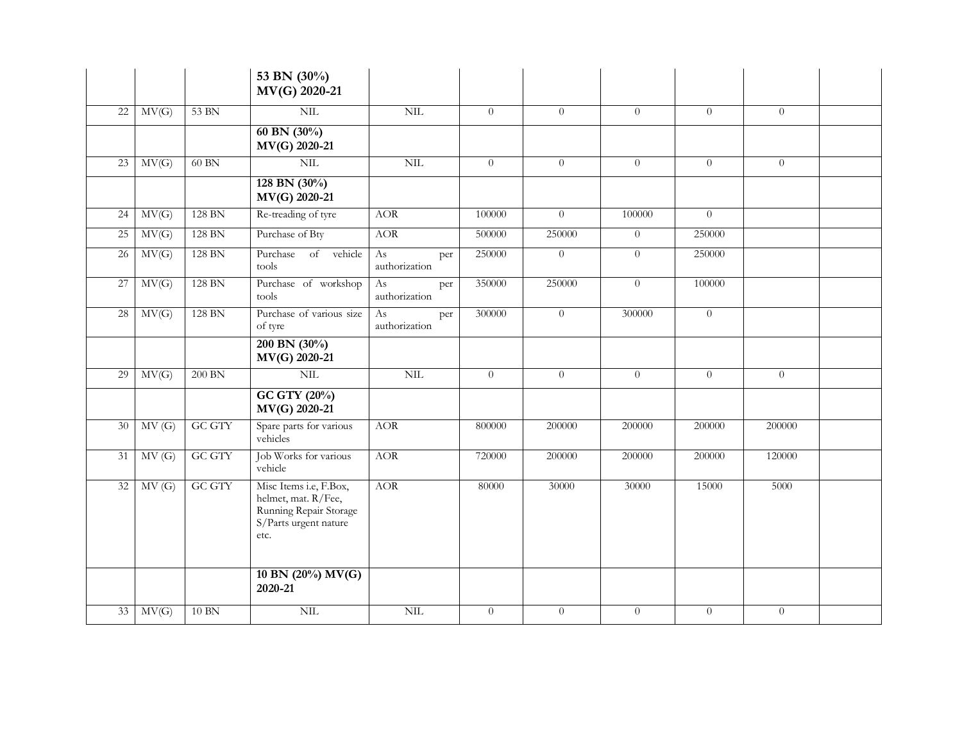|    |       |               | 53 BN (30%)<br>MV(G) 2020-21                                                                             |                            |                |                |                |                |          |  |
|----|-------|---------------|----------------------------------------------------------------------------------------------------------|----------------------------|----------------|----------------|----------------|----------------|----------|--|
| 22 | MV(G) | 53 BN         | $NIL$                                                                                                    | NIL                        | $\overline{0}$ | $\overline{0}$ | $\overline{0}$ | $\overline{0}$ | $\theta$ |  |
|    |       |               | 60 BN $(30\%)$<br>MV(G) 2020-21                                                                          |                            |                |                |                |                |          |  |
| 23 | MV(G) | 60 BN         | NIL                                                                                                      | $\mbox{NIL}$               | $\overline{0}$ | $\overline{0}$ | $\overline{0}$ | $\theta$       | $\theta$ |  |
|    |       |               | $128$ BN $(30\%)$<br>MV(G) 2020-21                                                                       |                            |                |                |                |                |          |  |
| 24 | MV(G) | 128 BN        | Re-treading of tyre                                                                                      | <b>AOR</b>                 | 100000         | $\overline{0}$ | 100000         | $\theta$       |          |  |
| 25 | MV(G) | 128 BN        | Purchase of Bty                                                                                          | <b>AOR</b>                 | 500000         | 250000         | $\overline{0}$ | 250000         |          |  |
| 26 | MV(G) | 128 BN        | Purchase of vehicle<br>tools                                                                             | As<br>per<br>authorization | 250000         | $\theta$       | $\overline{0}$ | 250000         |          |  |
| 27 | MV(G) | 128 BN        | Purchase of workshop<br>tools                                                                            | As<br>per<br>authorization | 350000         | 250000         | $\overline{0}$ | 100000         |          |  |
| 28 | MV(G) | 128 BN        | Purchase of various size<br>of tyre                                                                      | As<br>per<br>authorization | 300000         | $\theta$       | 300000         | $\theta$       |          |  |
|    |       |               | 200 BN $(30\%)$<br>MV(G) 2020-21                                                                         |                            |                |                |                |                |          |  |
| 29 | MV(G) | $200$ BN      | NIL                                                                                                      | NIL                        | $\overline{0}$ | $\overline{0}$ | $\overline{0}$ | $\overline{0}$ | $\theta$ |  |
|    |       |               | GC GTY (20%)<br>MV(G) 2020-21                                                                            |                            |                |                |                |                |          |  |
| 30 | MV(G) | <b>GC GTY</b> | Spare parts for various<br>vehicles                                                                      | <b>AOR</b>                 | 800000         | 200000         | 200000         | 200000         | 200000   |  |
| 31 | MV(G) | <b>GC GTY</b> | Job Works for various<br>vehicle                                                                         | <b>AOR</b>                 | 720000         | 200000         | $200000\,$     | 200000         | 120000   |  |
| 32 | MV(G) | <b>GC GTY</b> | Misc Items i.e, F.Box,<br>helmet, mat. R/Fee,<br>Running Repair Storage<br>S/Parts urgent nature<br>etc. | <b>AOR</b>                 | 80000          | 30000          | 30000          | 15000          | 5000     |  |
|    |       |               | 10 BN (20%) MV(G)<br>2020-21                                                                             |                            |                |                |                |                |          |  |
| 33 | MV(G) | $10$ BN       | NIL                                                                                                      | NIL                        | $\overline{0}$ | $\theta$       | $\overline{0}$ | $\overline{0}$ | $\theta$ |  |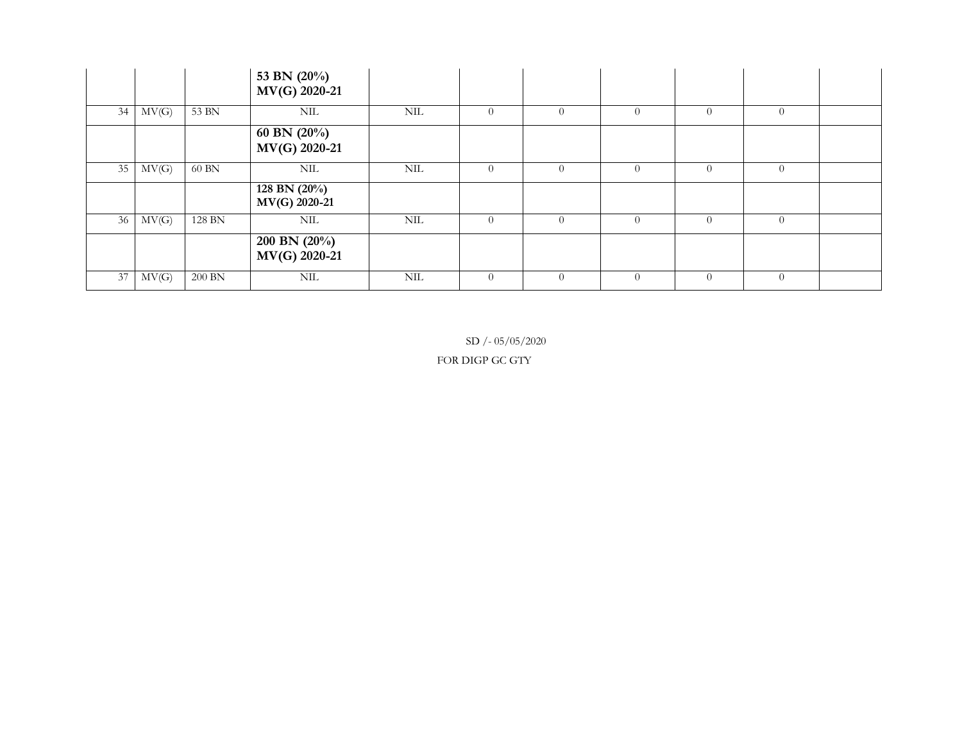|    |            |        | 53 BN (20%)<br>MV(G) 2020-21     |     |                |          |          |          |                |  |
|----|------------|--------|----------------------------------|-----|----------------|----------|----------|----------|----------------|--|
| 34 | MV(G)      | 53 BN  | NIL                              | NIL | $\theta$       | $\Omega$ | $\Omega$ | $\Omega$ | $\overline{0}$ |  |
|    |            |        | 60 BN $(20\%)$<br>MV(G) 2020-21  |     |                |          |          |          |                |  |
| 35 | MV(G)      | 60 BN  | NIL                              | NIL | $\overline{0}$ | $\Omega$ | $\theta$ | $\Omega$ | $\overline{0}$ |  |
|    |            |        | 128 BN $(20\%)$<br>MV(G) 2020-21 |     |                |          |          |          |                |  |
|    | $36$ MV(G) | 128 BN | NIL                              | NIL | $\theta$       | $\Omega$ | $\Omega$ | $\Omega$ | $\theta$       |  |
|    |            |        | 200 BN $(20\%)$<br>MV(G) 2020-21 |     |                |          |          |          |                |  |
| 37 | MV(G)      | 200 BN | NIL                              | NIL | $\Omega$       | $\Omega$ | $\Omega$ | $\Omega$ | $\theta$       |  |

SD / - 05/05/2020

FOR DIGP GC GTY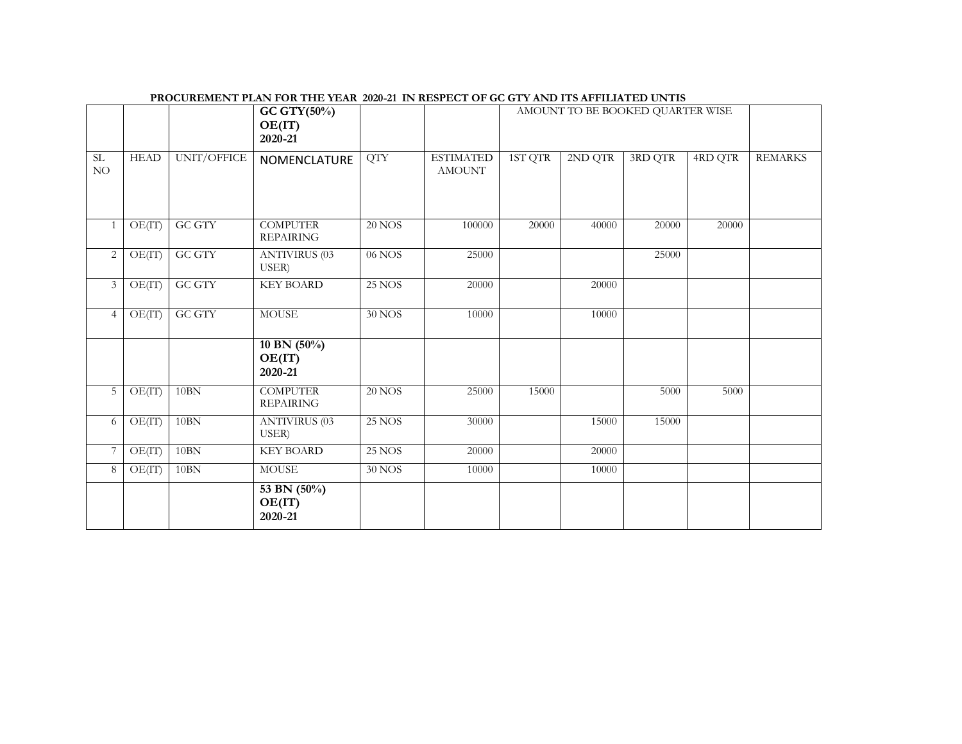|                |             |               | GC GTY(50%)<br>OE(IT)<br>2020-21    |               |                                   |         |         | AMOUNT TO BE BOOKED QUARTER WISE |         |                |
|----------------|-------------|---------------|-------------------------------------|---------------|-----------------------------------|---------|---------|----------------------------------|---------|----------------|
| SL<br>NO       | <b>HEAD</b> | UNIT/OFFICE   | NOMENCLATURE                        | <b>QTY</b>    | <b>ESTIMATED</b><br><b>AMOUNT</b> | 1ST QTR | 2ND QTR | 3RD QTR                          | 4RD QTR | <b>REMARKS</b> |
|                | OE(IT)      | GC GTY        | <b>COMPUTER</b><br><b>REPAIRING</b> | $20$ NOS      | 100000                            | 20000   | 40000   | 20000                            | 20000   |                |
| 2              | OE(IT)      | <b>GC GTY</b> | <b>ANTIVIRUS (03</b><br>USER)       | 06 NOS        | 25000                             |         |         | 25000                            |         |                |
| $\mathfrak{Z}$ | OE(IT)      | <b>GC GTY</b> | <b>KEY BOARD</b>                    | $25$ NOS $\,$ | 20000                             |         | 20000   |                                  |         |                |
| $\overline{4}$ | OE(IT)      | <b>GC GTY</b> | <b>MOUSE</b>                        | 30 NOS        | 10000                             |         | 10000   |                                  |         |                |
|                |             |               | 10 BN $(50\%)$<br>OE(IT)<br>2020-21 |               |                                   |         |         |                                  |         |                |
| 5 <sup>5</sup> | OE(IT)      | 10BN          | <b>COMPUTER</b><br><b>REPAIRING</b> | $20$ NOS      | 25000                             | 15000   |         | 5000                             | 5000    |                |
| 6              | OE(IT)      | 10BN          | <b>ANTIVIRUS (03</b><br>USER)       | <b>25 NOS</b> | 30000                             |         | 15000   | 15000                            |         |                |
| 7              | OE(IT)      | $10\text{BN}$ | <b>KEY BOARD</b>                    | <b>25 NOS</b> | 20000                             |         | 20000   |                                  |         |                |
| 8              | OE(IT)      | 10BN          | <b>MOUSE</b>                        | <b>30 NOS</b> | 10000                             |         | 10000   |                                  |         |                |
|                |             |               | 53 BN (50%)<br>OE(IT)<br>2020-21    |               |                                   |         |         |                                  |         |                |

**PROCUREMENT PLAN FOR THE YEAR 2020-21 IN RESPECT OF GC GTY AND ITS AFFILIATED UNTIS**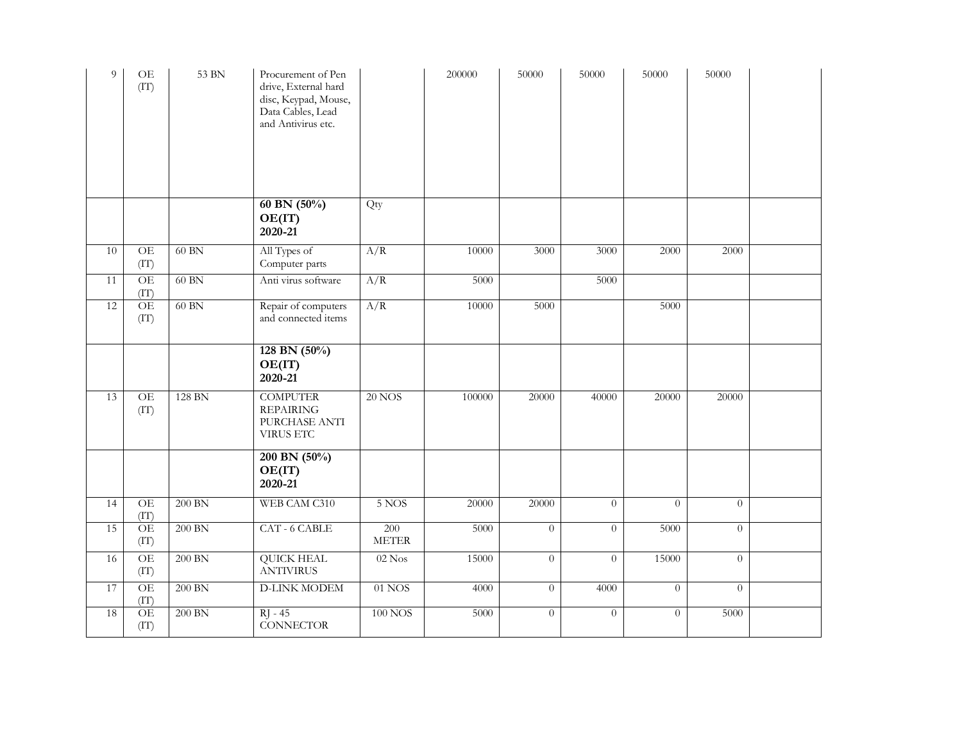| 9               | <b>OE</b><br>(TT)       | 53 BN          | Procurement of Pen<br>drive, External hard<br>disc, Keypad, Mouse,<br>Data Cables, Lead<br>and Antivirus etc. |                               | 200000 | 50000          | 50000          | 50000    | 50000          |  |
|-----------------|-------------------------|----------------|---------------------------------------------------------------------------------------------------------------|-------------------------------|--------|----------------|----------------|----------|----------------|--|
|                 |                         |                | 60 BN $(50\%)$<br>OE(IT)<br>2020-21                                                                           | Qty                           |        |                |                |          |                |  |
| 10              | OE<br>(TT)              | $60$ $\rm{BN}$ | All Types of<br>Computer parts                                                                                | A/R                           | 10000  | 3000           | 3000           | 2000     | 2000           |  |
| 11              | OE<br>(TT)              | $60$ $\rm{BN}$ | Anti virus software                                                                                           | A/R                           | 5000   |                | 5000           |          |                |  |
| 12              | <b>OE</b><br>(TT)       | 60 BN          | Repair of computers<br>and connected items                                                                    | A/R                           | 10000  | 5000           |                | 5000     |                |  |
|                 |                         |                | 128 BN $(50\%)$<br>OE(IT)<br>2020-21                                                                          |                               |        |                |                |          |                |  |
| 13              | OE<br>(TT)              | 128 BN         | <b>COMPUTER</b><br><b>REPAIRING</b><br>PURCHASE ANTI<br><b>VIRUS ETC</b>                                      | <b>20 NOS</b>                 | 100000 | 20000          | 40000          | 20000    | 20000          |  |
|                 |                         |                | 200 BN (50%)<br>OE(IT)<br>2020-21                                                                             |                               |        |                |                |          |                |  |
| $\overline{14}$ | <b>OE</b><br>(TT)       | 200 BN         | WEB CAM C310                                                                                                  | 5 NOS                         | 20000  | 20000          | $\theta$       | $\Omega$ | $\Omega$       |  |
| 15              | OE<br>(TT)              | 200 BN         | CAT - 6 CABLE                                                                                                 | 200<br>$\operatorname{METER}$ | 5000   | $\overline{0}$ | $\overline{0}$ | 5000     | $\overline{0}$ |  |
| $\overline{16}$ | OE<br>(TT)              | $200$ BN       | <b>QUICK HEAL</b><br><b>ANTIVIRUS</b>                                                                         | $02$ Nos                      | 15000  | $\overline{0}$ | $\theta$       | 15000    | $\theta$       |  |
| 17              | OE<br>(TT)              | $200$ BN       | <b>D-LINK MODEM</b>                                                                                           | $01$ NOS                      | 4000   | $\overline{0}$ | 4000           | $\theta$ | $\theta$       |  |
| 18              | $\overline{OE}$<br>(TT) | 200 BN         | $RI - 45$<br><b>CONNECTOR</b>                                                                                 | $100$ NOS                     | 5000   | $\overline{0}$ | $\overline{0}$ | $\theta$ | 5000           |  |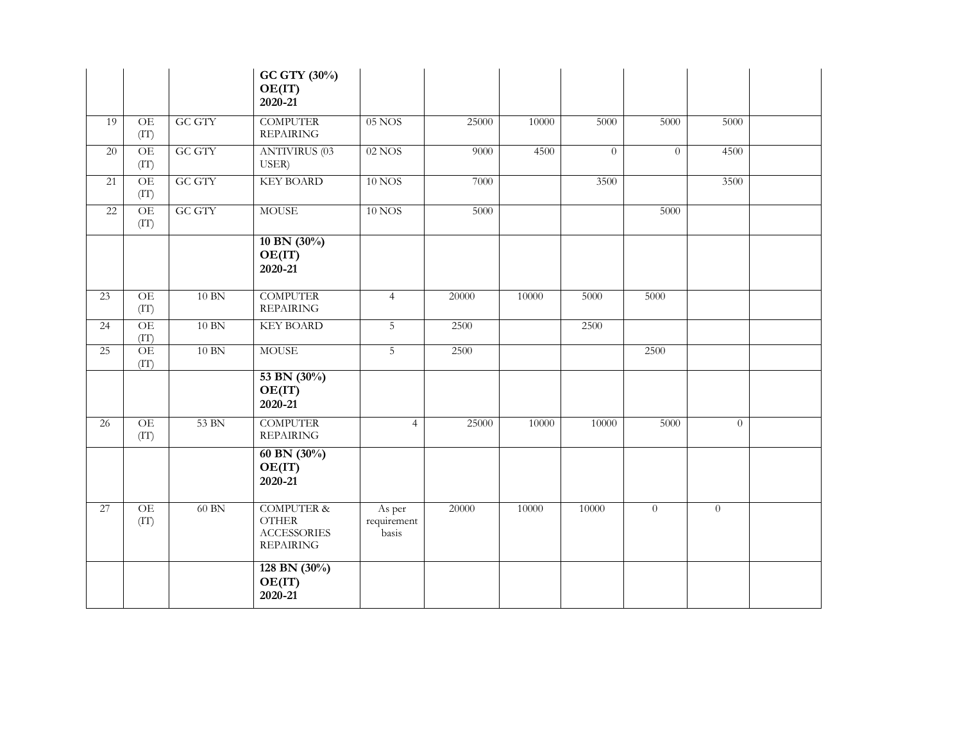|                 |                         |               | GC GTY (30%)<br>OE(IT)<br>2020-21                                               |                                |       |       |                |                |                |  |
|-----------------|-------------------------|---------------|---------------------------------------------------------------------------------|--------------------------------|-------|-------|----------------|----------------|----------------|--|
| 19              | OE<br>(TT)              | <b>GC GTY</b> | <b>COMPUTER</b><br><b>REPAIRING</b>                                             | 05 NOS                         | 25000 | 10000 | 5000           | 5000           | 5000           |  |
| 20              | OE<br>(TT)              | <b>GC GTY</b> | <b>ANTIVIRUS (03</b><br>USER)                                                   | $02$ NOS                       | 9000  | 4500  | $\overline{0}$ | $\theta$       | 4500           |  |
| 21              | OE<br>(TT)              | <b>GC GTY</b> | <b>KEY BOARD</b>                                                                | <b>10 NOS</b>                  | 7000  |       | 3500           |                | 3500           |  |
| $\overline{22}$ | OE<br>(TT)              | <b>GC GTY</b> | <b>MOUSE</b>                                                                    | <b>10 NOS</b>                  | 5000  |       |                | 5000           |                |  |
|                 |                         |               | 10 BN (30%)<br>OE(IT)<br>2020-21                                                |                                |       |       |                |                |                |  |
| 23              | OE<br>(TT)              | $10$ BN       | <b>COMPUTER</b><br><b>REPAIRING</b>                                             | $\overline{4}$                 | 20000 | 10000 | 5000           | 5000           |                |  |
| 24              | $\overline{OE}$<br>(TT) | $10$ BN       | <b>KEY BOARD</b>                                                                | 5                              | 2500  |       | 2500           |                |                |  |
| 25              | OE<br>(TT)              | $10$ BN       | <b>MOUSE</b>                                                                    | $\overline{5}$                 | 2500  |       |                | 2500           |                |  |
|                 |                         |               | 53 BN (30%)<br>OE(IT)<br>2020-21                                                |                                |       |       |                |                |                |  |
| 26              | OE<br>(TT)              | 53 BN         | <b>COMPUTER</b><br><b>REPAIRING</b>                                             | $\overline{4}$                 | 25000 | 10000 | 10000          | 5000           | $\overline{0}$ |  |
|                 |                         |               | 60 BN $(30\%)$<br>OE(IT)<br>2020-21                                             |                                |       |       |                |                |                |  |
| 27              | OE<br>(TT)              | 60 BN         | <b>COMPUTER &amp;</b><br><b>OTHER</b><br><b>ACCESSORIES</b><br><b>REPAIRING</b> | As per<br>requirement<br>basis | 20000 | 10000 | 10000          | $\overline{0}$ | $\overline{0}$ |  |
|                 |                         |               | 128 BN $(30\%)$<br>OE(IT)<br>2020-21                                            |                                |       |       |                |                |                |  |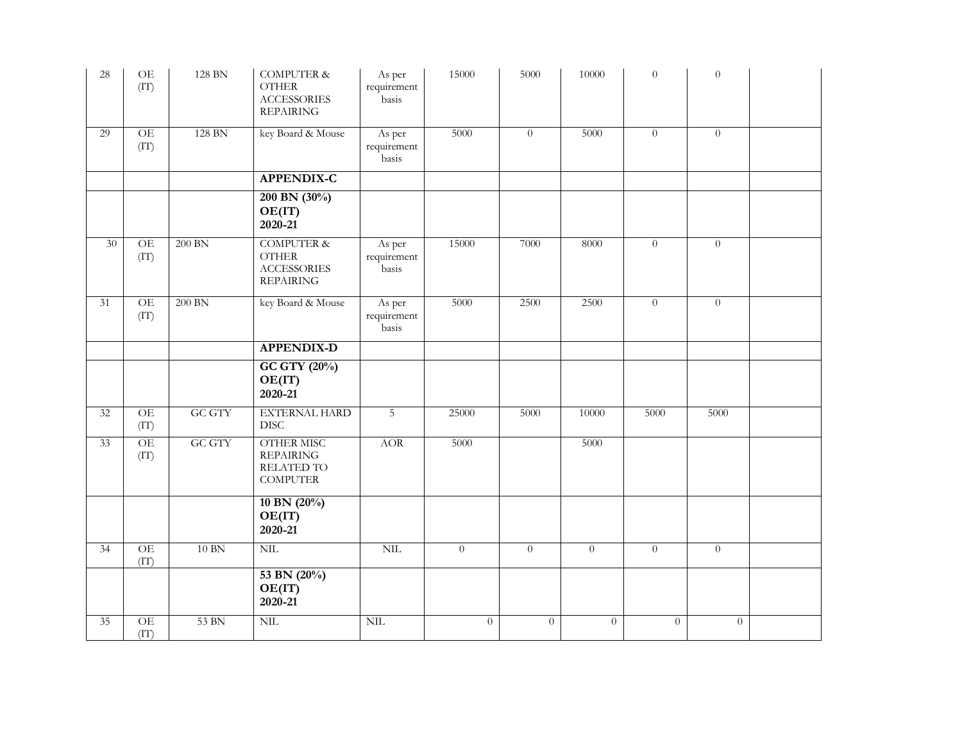| 28              | $\!$ OE<br>(TT)         | 128 BN        | <b>COMPUTER &amp;</b><br><b>OTHER</b><br><b>ACCESSORIES</b><br><b>REPAIRING</b> | As per<br>requirement<br>basis | 15000          | 5000     | $10000\,$      | $\theta$ | $\boldsymbol{0}$ |  |
|-----------------|-------------------------|---------------|---------------------------------------------------------------------------------|--------------------------------|----------------|----------|----------------|----------|------------------|--|
| 29              | OE<br>(TT)              | 128 BN        | key Board & Mouse                                                               | As per<br>requirement<br>basis | 5000           | $\theta$ | 5000           | $\theta$ | $\theta$         |  |
|                 |                         |               | <b>APPENDIX-C</b>                                                               |                                |                |          |                |          |                  |  |
|                 |                         |               | 200 BN (30%)<br>OE(IT)<br>2020-21                                               |                                |                |          |                |          |                  |  |
| 30 <sup>°</sup> | $OE$<br>(TT)            | 200 BN        | <b>COMPUTER &amp;</b><br><b>OTHER</b><br><b>ACCESSORIES</b><br><b>REPAIRING</b> | As per<br>requirement<br>basis | 15000          | 7000     | 8000           | $\theta$ | $\theta$         |  |
| 31              | OE<br>(TT)              | $200$ BN      | key Board & Mouse                                                               | As per<br>requirement<br>basis | 5000           | 2500     | 2500           | $\theta$ | $\overline{0}$   |  |
|                 |                         |               | <b>APPENDIX-D</b>                                                               |                                |                |          |                |          |                  |  |
|                 |                         |               | GC GTY (20%)<br>OE(IT)<br>2020-21                                               |                                |                |          |                |          |                  |  |
| 32              | OE<br>(TT)              | <b>GC GTY</b> | <b>EXTERNAL HARD</b><br><b>DISC</b>                                             | 5                              | 25000          | 5000     | 10000          | 5000     | 5000             |  |
| $\overline{33}$ | OE<br>(TT)              | <b>GC GTY</b> | <b>OTHER MISC</b><br><b>REPAIRING</b><br>RELATED TO<br><b>COMPUTER</b>          | <b>AOR</b>                     | 5000           |          | 5000           |          |                  |  |
|                 |                         |               | 10 BN (20%)<br>OE(IT)<br>2020-21                                                |                                |                |          |                |          |                  |  |
| $\overline{34}$ | $\overline{OE}$<br>(TT) | $10 BN$       | NIL                                                                             | $\text{NIL}$                   | $\overline{0}$ | $\theta$ | $\overline{0}$ | $\theta$ | $\overline{0}$   |  |
|                 |                         |               | 53 BN (20%)<br>OE(IT)<br>2020-21                                                |                                |                |          |                |          |                  |  |
| 35              | OE<br>(TT)              | 53 BN         | NIL                                                                             | NIL                            | $\theta$       | $\theta$ | $\overline{0}$ | $\theta$ | $\theta$         |  |